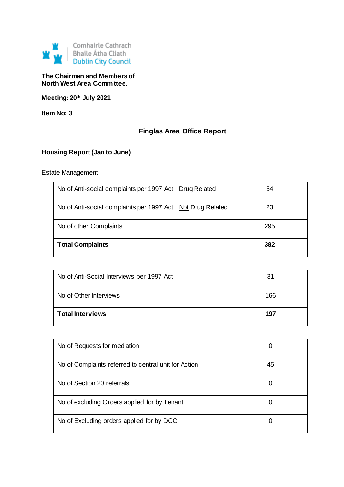

## **The Chairman and Members of North West Area Committee.**

**Meeting: 20th July 2021**

**Item No: 3**

# **Finglas Area Office Report**

# **Housing Report (Jan to June)**

## Estate Management

| No of Anti-social complaints per 1997 Act Drug Related     | 64  |
|------------------------------------------------------------|-----|
| No of Anti-social complaints per 1997 Act Not Drug Related | 23  |
| No of other Complaints                                     | 295 |
| <b>Total Complaints</b>                                    | 382 |

| No of Anti-Social Interviews per 1997 Act | 31  |
|-------------------------------------------|-----|
| No of Other Interviews                    | 166 |
| <b>Total Interviews</b>                   | 197 |

| No of Requests for mediation                         |    |
|------------------------------------------------------|----|
| No of Complaints referred to central unit for Action | 45 |
| No of Section 20 referrals                           |    |
| No of excluding Orders applied for by Tenant         |    |
| No of Excluding orders applied for by DCC            |    |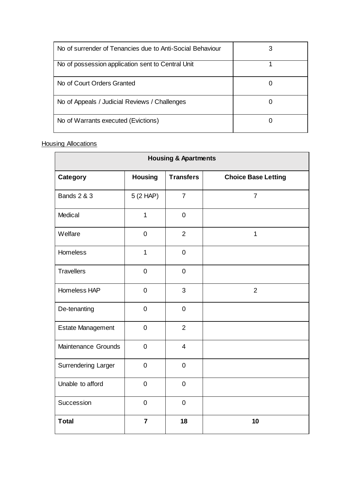| No of surrender of Tenancies due to Anti-Social Behaviour |  |
|-----------------------------------------------------------|--|
| No of possession application sent to Central Unit         |  |
| No of Court Orders Granted                                |  |
| No of Appeals / Judicial Reviews / Challenges             |  |
| No of Warrants executed (Evictions)                       |  |

# **Housing Allocations**

| <b>Housing &amp; Apartments</b> |                |                  |                            |
|---------------------------------|----------------|------------------|----------------------------|
| <b>Category</b>                 | <b>Housing</b> | <b>Transfers</b> | <b>Choice Base Letting</b> |
| <b>Bands 2 &amp; 3</b>          | 5(2 HAP)       | $\overline{7}$   | $\overline{7}$             |
| Medical                         | $\overline{1}$ | $\pmb{0}$        |                            |
| Welfare                         | $\pmb{0}$      | $\overline{2}$   | $\mathbf{1}$               |
| Homeless                        | 1              | $\pmb{0}$        |                            |
| <b>Travellers</b>               | $\mathbf 0$    | $\mathbf 0$      |                            |
| Homeless HAP                    | $\mathbf 0$    | 3                | $\overline{2}$             |
| De-tenanting                    | $\mathbf 0$    | $\mathbf 0$      |                            |
| <b>Estate Management</b>        | $\mathbf 0$    | $\overline{2}$   |                            |
| Maintenance Grounds             | $\mathbf 0$    | $\overline{4}$   |                            |
| Surrendering Larger             | $\mathbf 0$    | $\mathbf 0$      |                            |
| Unable to afford                | $\pmb{0}$      | $\boldsymbol{0}$ |                            |
| Succession                      | $\mathbf 0$    | $\mathbf 0$      |                            |
| <b>Total</b>                    | $\overline{7}$ | 18               | 10                         |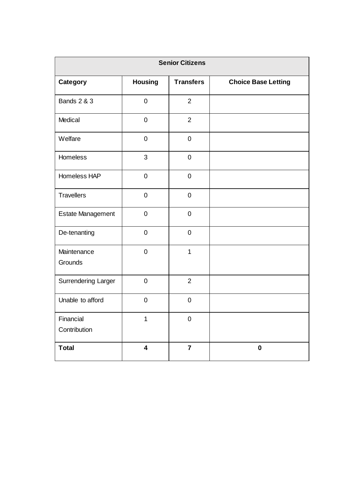| <b>Senior Citizens</b>     |                         |                  |                            |  |
|----------------------------|-------------------------|------------------|----------------------------|--|
| <b>Category</b>            | <b>Housing</b>          | <b>Transfers</b> | <b>Choice Base Letting</b> |  |
| <b>Bands 2 &amp; 3</b>     | $\mathbf 0$             | $\overline{2}$   |                            |  |
| Medical                    | $\mathbf 0$             | $\overline{2}$   |                            |  |
| Welfare                    | $\mathbf 0$             | $\pmb{0}$        |                            |  |
| Homeless                   | 3                       | $\mathbf 0$      |                            |  |
| Homeless HAP               | $\mathbf 0$             | $\mathbf 0$      |                            |  |
| <b>Travellers</b>          | $\mathbf 0$             | $\pmb{0}$        |                            |  |
| <b>Estate Management</b>   | $\pmb{0}$               | $\mathbf 0$      |                            |  |
| De-tenanting               | $\mathbf 0$             | $\mathbf 0$      |                            |  |
| Maintenance<br>Grounds     | $\mathbf 0$             | $\mathbf{1}$     |                            |  |
| <b>Surrendering Larger</b> | $\mathbf 0$             | 2                |                            |  |
| Unable to afford           | $\mathbf 0$             | $\mathbf 0$      |                            |  |
| Financial<br>Contribution  | $\mathbf 1$             | $\pmb{0}$        |                            |  |
| <b>Total</b>               | $\overline{\mathbf{4}}$ | $\overline{7}$   | $\pmb{0}$                  |  |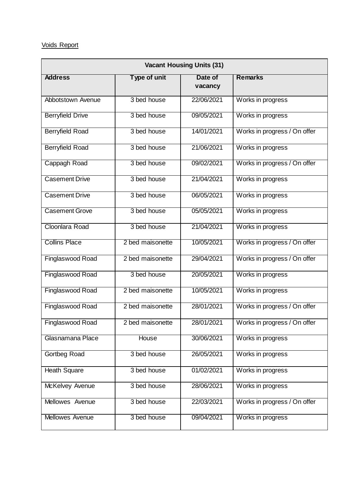# Voids Report

| <b>Vacant Housing Units (31)</b> |                  |                    |                              |  |
|----------------------------------|------------------|--------------------|------------------------------|--|
| <b>Address</b>                   | Type of unit     | Date of<br>vacancy | <b>Remarks</b>               |  |
| Abbotstown Avenue                | 3 bed house      | 22/06/2021         | Works in progress            |  |
| <b>Berryfield Drive</b>          | 3 bed house      | 09/05/2021         | Works in progress            |  |
| <b>Berryfield Road</b>           | 3 bed house      | 14/01/2021         | Works in progress / On offer |  |
| <b>Berryfield Road</b>           | 3 bed house      | 21/06/2021         | Works in progress            |  |
| Cappagh Road                     | 3 bed house      | 09/02/2021         | Works in progress / On offer |  |
| <b>Casement Drive</b>            | 3 bed house      | 21/04/2021         | Works in progress            |  |
| <b>Casement Drive</b>            | 3 bed house      | 06/05/2021         | Works in progress            |  |
| <b>Casement Grove</b>            | 3 bed house      | 05/05/2021         | Works in progress            |  |
| Cloonlara Road                   | 3 bed house      | 21/04/2021         | Works in progress            |  |
| <b>Collins Place</b>             | 2 bed maisonette | 10/05/2021         | Works in progress / On offer |  |
| Finglaswood Road                 | 2 bed maisonette | 29/04/2021         | Works in progress / On offer |  |
| Finglaswood Road                 | 3 bed house      | 20/05/2021         | Works in progress            |  |
| <b>Finglaswood Road</b>          | 2 bed maisonette | 10/05/2021         | Works in progress            |  |
| Finglaswood Road                 | 2 bed maisonette | 28/01/2021         | Works in progress / On offer |  |
| Finglaswood Road                 | 2 bed maisonette | 28/01/2021         | Works in progress / On offer |  |
| Glasnamana Place                 | House            | 30/06/2021         | Works in progress            |  |
| Gortbeg Road                     | 3 bed house      | 26/05/2021         | Works in progress            |  |
| <b>Heath Square</b>              | 3 bed house      | 01/02/2021         | Works in progress            |  |
| McKelvey Avenue                  | 3 bed house      | 28/06/2021         | Works in progress            |  |
| Mellowes Avenue                  | 3 bed house      | 22/03/2021         | Works in progress / On offer |  |
| <b>Mellowes Avenue</b>           | 3 bed house      | 09/04/2021         | Works in progress            |  |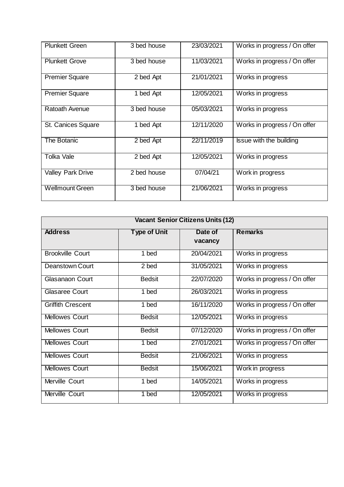| <b>Plunkett Green</b>    | 3 bed house | 23/03/2021 | Works in progress / On offer |
|--------------------------|-------------|------------|------------------------------|
| <b>Plunkett Grove</b>    | 3 bed house | 11/03/2021 | Works in progress / On offer |
| <b>Premier Square</b>    | 2 bed Apt   | 21/01/2021 | Works in progress            |
| <b>Premier Square</b>    | 1 bed Apt   | 12/05/2021 | Works in progress            |
| Ratoath Avenue           | 3 bed house | 05/03/2021 | Works in progress            |
| St. Canices Square       | 1 bed Apt   | 12/11/2020 | Works in progress / On offer |
| <b>The Botanic</b>       | 2 bed Apt   | 22/11/2019 | Issue with the building      |
| <b>Tolka Vale</b>        | 2 bed Apt   | 12/05/2021 | Works in progress            |
| <b>Valley Park Drive</b> | 2 bed house | 07/04/21   | Work in progress             |
| <b>Wellmount Green</b>   | 3 bed house | 21/06/2021 | Works in progress            |

| <b>Vacant Senior Citizens Units (12)</b> |                     |                    |                              |  |
|------------------------------------------|---------------------|--------------------|------------------------------|--|
| <b>Address</b>                           | <b>Type of Unit</b> | Date of<br>vacancy | <b>Remarks</b>               |  |
| <b>Brookville Court</b>                  | 1 bed               | 20/04/2021         | Works in progress            |  |
| Deanstown Court                          | 2 bed               | 31/05/2021         | Works in progress            |  |
| Glasanaon Court                          | <b>Bedsit</b>       | 22/07/2020         | Works in progress / On offer |  |
| <b>Glasaree Court</b>                    | 1 bed               | 26/03/2021         | Works in progress            |  |
| <b>Griffith Crescent</b>                 | 1 bed               | 16/11/2020         | Works in progress / On offer |  |
| <b>Mellowes Court</b>                    | <b>Bedsit</b>       | 12/05/2021         | Works in progress            |  |
| <b>Mellowes Court</b>                    | <b>Bedsit</b>       | 07/12/2020         | Works in progress / On offer |  |
| <b>Mellowes Court</b>                    | 1 bed               | 27/01/2021         | Works in progress / On offer |  |
| <b>Mellowes Court</b>                    | <b>Bedsit</b>       | 21/06/2021         | Works in progress            |  |
| <b>Mellowes Court</b>                    | <b>Bedsit</b>       | 15/06/2021         | Work in progress             |  |
| Merville Court                           | 1 bed               | 14/05/2021         | Works in progress            |  |
| Merville Court                           | 1 bed               | 12/05/2021         | Works in progress            |  |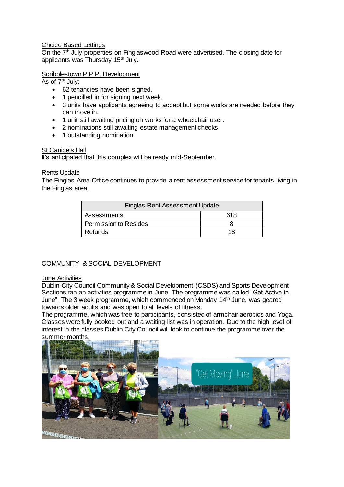## Choice Based Lettings

On the 7th July properties on Finglaswood Road were advertised. The closing date for applicants was Thursday 15th July.

## Scribblestown P.P.P. Development

As of 7<sup>th</sup> July:

- 62 tenancies have been signed.
- 1 pencilled in for signing next week.
- 3 units have applicants agreeing to accept but some works are needed before they can move in.
- 1 unit still awaiting pricing on works for a wheelchair user.
- 2 nominations still awaiting estate management checks.
- 1 outstanding nomination.

#### St Canice's Hall

It's anticipated that this complex will be ready mid-September.

#### Rents Update

The Finglas Area Office continues to provide a rent assessment service for tenants living in the Finglas area.

| <b>Finglas Rent Assessment Update</b> |     |  |
|---------------------------------------|-----|--|
| Assessments                           | 618 |  |
| <b>Permission to Resides</b>          |     |  |
| Refunds                               | 18  |  |

## COMMUNITY & SOCIAL DEVELOPMENT

#### June Activities

Dublin City Council Community & Social Development (CSDS) and Sports Development Sections ran an activities programme in June. The programme was called "Get Active in June". The 3 week programme, which commenced on Monday 14<sup>th</sup> June, was geared towards older adults and was open to all levels of fitness.

The programme, which was free to participants, consisted of armchair aerobics and Yoga. Classes were fully booked out and a waiting list was in operation. Due to the high level of interest in the classes Dublin City Council will look to continue the programme over the summer months.

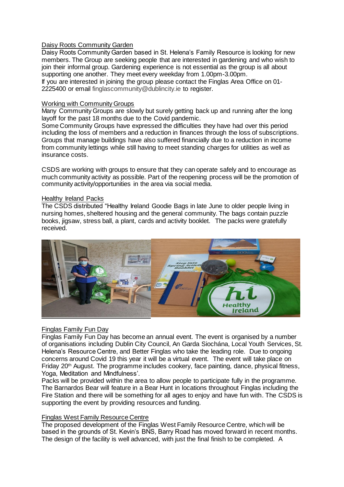### Daisy Roots Community Garden

Daisy Roots Community Garden based in St. Helena's Family Resource is looking for new members. The Group are seeking people that are interested in gardening and who wish to join their informal group. Gardening experience is not essential as the group is all about supporting one another. They meet every weekday from 1.00pm-3.00pm.

If you are interested in joining the group please contact the Finglas Area Office on 01- 2225400 or email [finglascommunity@dublincity.ie](mailto:finglascommunity@dublincity.ie) to register.

#### Working with Community Groups

Many Community Groups are slowly but surely getting back up and running after the long layoff for the past 18 months due to the Covid pandemic.

Some Community Groups have expressed the difficulties they have had over this period including the loss of members and a reduction in finances through the loss of subscriptions. Groups that manage buildings have also suffered financially due to a reduction in income from community lettings while still having to meet standing charges for utilities as well as insurance costs.

CSDS are working with groups to ensure that they can operate safely and to encourage as much community activity as possible. Part of the reopening process will be the promotion of community activity/opportunities in the area via social media.

#### Healthy Ireland Packs

The CSDS distributed "Healthy Ireland Goodie Bags in late June to older people living in nursing homes, sheltered housing and the general community. The bags contain puzzle books, jigsaw, stress ball, a plant, cards and activity booklet. The packs were gratefully received.



#### Finglas Family Fun Day

Finglas Family Fun Day has become an annual event. The event is organised by a number of organisations including Dublin City Council, An Garda Siochána, Local Youth Services, St. Helena's Resource Centre, and Better Finglas who take the leading role. Due to ongoing concerns around Covid 19 this year it will be a virtual event. The event will take place on Friday 20<sup>th</sup> August. The programme includes cookery, face painting, dance, physical fitness, Yoga, Meditation and Mindfulness'.

Packs will be provided within the area to allow people to participate fully in the programme. The Barnardos Bear will feature in a Bear Hunt in locations throughout Finglas including the Fire Station and there will be something for all ages to enjoy and have fun with. The CSDS is supporting the event by providing resources and funding.

#### Finglas West Family Resource Centre

The proposed development of the Finglas West Family Resource Centre, which will be based in the grounds of St. Kevin's BNS, Barry Road has moved forward in recent months. The design of the facility is well advanced, with just the final finish to be completed. A